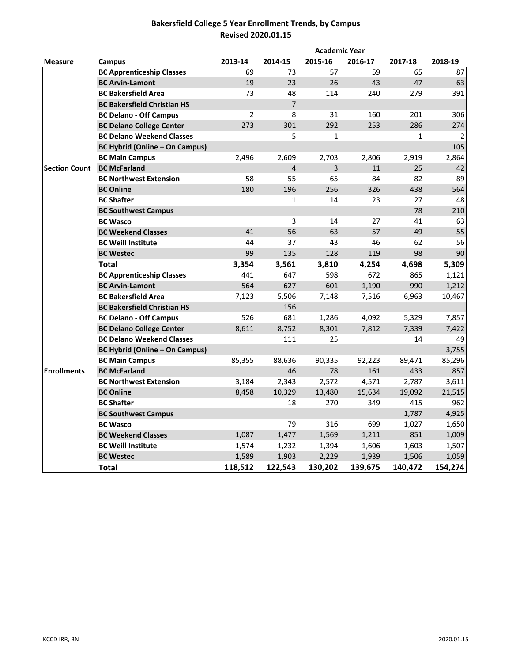# **Bakersfield College 5 Year Enrollment Trends, by Campus Revised 2020.01.15**

|                      |                                       |                |                | <b>Academic Year</b> |         |         |         |
|----------------------|---------------------------------------|----------------|----------------|----------------------|---------|---------|---------|
| <b>Measure</b>       | Campus                                | 2013-14        | 2014-15        | 2015-16              | 2016-17 | 2017-18 | 2018-19 |
|                      | <b>BC Apprenticeship Classes</b>      | 69             | 73             | 57                   | 59      | 65      | 87      |
|                      | <b>BC Arvin-Lamont</b>                | 19             | 23             | 26                   | 43      | 47      | 63      |
|                      | <b>BC Bakersfield Area</b>            | 73             | 48             | 114                  | 240     | 279     | 391     |
|                      | <b>BC Bakersfield Christian HS</b>    |                | $\overline{7}$ |                      |         |         |         |
|                      | <b>BC Delano - Off Campus</b>         | $\overline{2}$ | 8              | 31                   | 160     | 201     | 306     |
|                      | <b>BC Delano College Center</b>       | 273            | 301            | 292                  | 253     | 286     | 274     |
|                      | <b>BC Delano Weekend Classes</b>      |                | 5              | $\mathbf{1}$         |         | 1       | 2       |
| <b>Section Count</b> | <b>BC Hybrid (Online + On Campus)</b> |                |                |                      |         |         | 105     |
|                      | <b>BC Main Campus</b>                 | 2,496          | 2,609          | 2,703                | 2,806   | 2,919   | 2,864   |
|                      | <b>BC McFarland</b>                   |                | 4              | $\overline{3}$       | 11      | 25      | 42      |
|                      | <b>BC Northwest Extension</b>         | 58             | 55             | 65                   | 84      | 82      | 89      |
|                      | <b>BC Online</b>                      | 180            | 196            | 256                  | 326     | 438     | 564     |
|                      | <b>BC Shafter</b>                     |                | $\mathbf{1}$   | 14                   | 23      | 27      | 48      |
|                      | <b>BC Southwest Campus</b>            |                |                |                      |         | 78      | 210     |
|                      | <b>BC Wasco</b>                       |                | 3              | 14                   | 27      | 41      | 63      |
|                      | <b>BC Weekend Classes</b>             | 41             | 56             | 63                   | 57      | 49      | 55      |
|                      | <b>BC Weill Institute</b>             | 44             | 37             | 43                   | 46      | 62      | 56      |
|                      | <b>BC Westec</b>                      | 99             | 135            | 128                  | 119     | 98      | 90      |
|                      | <b>Total</b>                          | 3,354          | 3,561          | 3,810                | 4,254   | 4,698   | 5,309   |
|                      | <b>BC Apprenticeship Classes</b>      | 441            | 647            | 598                  | 672     | 865     | 1,121   |
|                      | <b>BC Arvin-Lamont</b>                | 564            | 627            | 601                  | 1,190   | 990     | 1,212   |
|                      | <b>BC Bakersfield Area</b>            | 7,123          | 5,506          | 7,148                | 7,516   | 6,963   | 10,467  |
|                      | <b>BC Bakersfield Christian HS</b>    |                | 156            |                      |         |         |         |
|                      | <b>BC Delano - Off Campus</b>         | 526            | 681            | 1,286                | 4,092   | 5,329   | 7,857   |
|                      | <b>BC Delano College Center</b>       | 8,611          | 8,752          | 8,301                | 7,812   | 7,339   | 7,422   |
|                      | <b>BC Delano Weekend Classes</b>      |                | 111            | 25                   |         | 14      | 49      |
|                      | <b>BC Hybrid (Online + On Campus)</b> |                |                |                      |         |         | 3,755   |
|                      | <b>BC Main Campus</b>                 | 85,355         | 88,636         | 90,335               | 92,223  | 89,471  | 85,296  |
| <b>Enrollments</b>   | <b>BC McFarland</b>                   |                | 46             | 78                   | 161     | 433     | 857     |
|                      | <b>BC Northwest Extension</b>         | 3,184          | 2,343          | 2,572                | 4,571   | 2,787   | 3,611   |
|                      | <b>BC Online</b>                      | 8,458          | 10,329         | 13,480               | 15,634  | 19,092  | 21,515  |
|                      | <b>BC Shafter</b>                     |                | 18             | 270                  | 349     | 415     | 962     |
|                      | <b>BC Southwest Campus</b>            |                |                |                      |         | 1,787   | 4,925   |
|                      | <b>BC Wasco</b>                       |                | 79             | 316                  | 699     | 1,027   | 1,650   |
|                      | <b>BC Weekend Classes</b>             | 1,087          | 1,477          | 1,569                | 1,211   | 851     | 1,009   |
|                      | <b>BC Weill Institute</b>             | 1,574          | 1,232          | 1,394                | 1,606   | 1,603   | 1,507   |
|                      | <b>BC Westec</b>                      | 1,589          | 1,903          | 2,229                | 1,939   | 1,506   | 1,059   |
|                      | <b>Total</b>                          | 118,512        | 122,543        | 130,202              | 139,675 | 140,472 | 154,274 |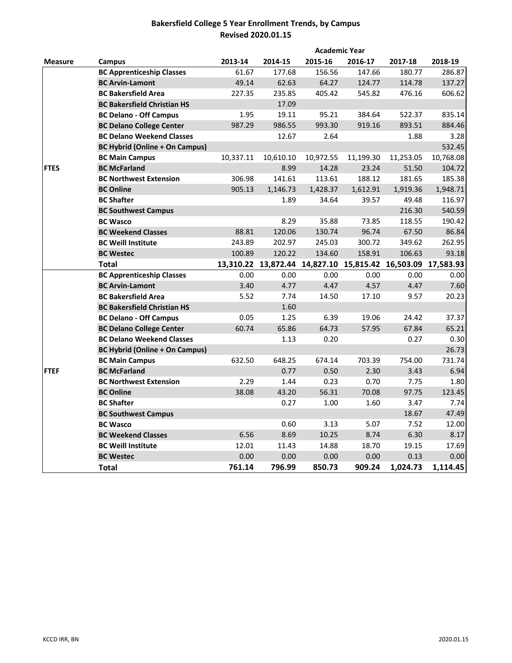# **Bakersfield College 5 Year Enrollment Trends, by Campus Revised 2020.01.15**

|                |                                       |                |                     | <b>Academic Year</b> |                |                                         |                  |
|----------------|---------------------------------------|----------------|---------------------|----------------------|----------------|-----------------------------------------|------------------|
| <b>Measure</b> | Campus                                | 2013-14        | 2014-15             | 2015-16              | 2016-17        | 2017-18                                 | 2018-19          |
|                | <b>BC Apprenticeship Classes</b>      | 61.67          | 177.68              | 156.56               | 147.66         | 180.77                                  | 286.87           |
|                | <b>BC Arvin-Lamont</b>                | 49.14          | 62.63               | 64.27                | 124.77         | 114.78                                  | 137.27           |
|                | <b>BC Bakersfield Area</b>            | 227.35         | 235.85              | 405.42               | 545.82         | 476.16                                  | 606.62           |
|                | <b>BC Bakersfield Christian HS</b>    |                | 17.09               |                      |                |                                         |                  |
|                | <b>BC Delano - Off Campus</b>         | 1.95           | 19.11               | 95.21                | 384.64         | 522.37                                  | 835.14           |
|                | <b>BC Delano College Center</b>       | 987.29         | 986.55              | 993.30               | 919.16         | 893.51                                  | 884.46           |
|                | <b>BC Delano Weekend Classes</b>      |                | 12.67               | 2.64                 |                | 1.88                                    | 3.28             |
|                | <b>BC Hybrid (Online + On Campus)</b> |                |                     |                      |                |                                         | 532.45           |
|                | <b>BC Main Campus</b>                 | 10,337.11      | 10,610.10           | 10,972.55            | 11,199.30      | 11,253.05                               | 10,768.08        |
| <b>FTES</b>    | <b>BC McFarland</b>                   |                | 8.99                | 14.28                | 23.24          | 51.50                                   | 104.72           |
|                | <b>BC Northwest Extension</b>         | 306.98         | 141.61              | 113.61               | 188.12         | 181.65                                  | 185.38           |
|                | <b>BC Online</b>                      | 905.13         | 1,146.73            | 1,428.37             | 1,612.91       | 1,919.36                                | 1,948.71         |
|                | <b>BC Shafter</b>                     |                | 1.89                | 34.64                | 39.57          | 49.48                                   | 116.97           |
|                | <b>BC Southwest Campus</b>            |                |                     |                      |                | 216.30                                  | 540.59           |
|                | <b>BC Wasco</b>                       |                | 8.29                | 35.88                | 73.85          | 118.55                                  | 190.42           |
|                | <b>BC Weekend Classes</b>             | 88.81          | 120.06              | 130.74               | 96.74          | 67.50                                   | 86.84            |
|                | <b>BC Weill Institute</b>             | 243.89         | 202.97              | 245.03               | 300.72         | 349.62                                  | 262.95           |
|                | <b>BC Westec</b>                      | 100.89         | 120.22              | 134.60               | 158.91         | 106.63                                  | 93.18            |
|                | <b>Total</b>                          |                | 13,310.22 13,872.44 |                      |                | 14,827.10 15,815.42 16,503.09 17,583.93 |                  |
|                | <b>BC Apprenticeship Classes</b>      | 0.00           | 0.00                | 0.00                 | 0.00           | 0.00                                    | 0.00             |
|                | <b>BC Arvin-Lamont</b>                | 3.40           | 4.77                | 4.47                 | 4.57           | 4.47                                    | 7.60             |
|                | <b>BC Bakersfield Area</b>            | 5.52           | 7.74                | 14.50                | 17.10          | 9.57                                    | 20.23            |
|                | <b>BC Bakersfield Christian HS</b>    |                | 1.60                |                      |                |                                         |                  |
|                | <b>BC Delano - Off Campus</b>         | 0.05           | 1.25                | 6.39                 | 19.06          | 24.42                                   | 37.37            |
|                | <b>BC Delano College Center</b>       | 60.74          | 65.86               | 64.73                | 57.95          | 67.84                                   | 65.21            |
|                | <b>BC Delano Weekend Classes</b>      |                | 1.13                | 0.20                 |                | 0.27                                    | 0.30             |
|                | <b>BC Hybrid (Online + On Campus)</b> |                |                     |                      |                |                                         | 26.73            |
|                | <b>BC Main Campus</b>                 | 632.50         | 648.25              | 674.14               | 703.39         | 754.00                                  | 731.74           |
| <b>FTEF</b>    | <b>BC McFarland</b>                   |                | 0.77                | 0.50                 | 2.30           | 3.43                                    | 6.94             |
|                | <b>BC Northwest Extension</b>         | 2.29           | 1.44                | 0.23                 | 0.70           | 7.75                                    | 1.80             |
|                | <b>BC Online</b>                      | 38.08          | 43.20               | 56.31                | 70.08          | 97.75                                   | 123.45           |
|                |                                       |                | 0.27                | 1.00                 | 1.60           | 3.47                                    | 7.74             |
|                | <b>BC Shafter</b>                     |                |                     |                      |                |                                         |                  |
|                | <b>BC Southwest Campus</b>            |                |                     |                      |                | 18.67                                   | 47.49            |
|                | <b>BC Wasco</b>                       |                | 0.60                | 3.13                 | 5.07           | 7.52                                    | 12.00            |
|                | <b>BC Weekend Classes</b>             | 6.56           | 8.69                | 10.25                | 8.74           | 6.30                                    | 8.17             |
|                | <b>BC Weill Institute</b>             | 12.01          | 11.43               | 14.88                | 18.70          | 19.15                                   | 17.69            |
|                | <b>BC Westec</b>                      | 0.00<br>761.14 | 0.00                | 0.00                 | 0.00<br>909.24 | 0.13<br>1,024.73                        | 0.00<br>1,114.45 |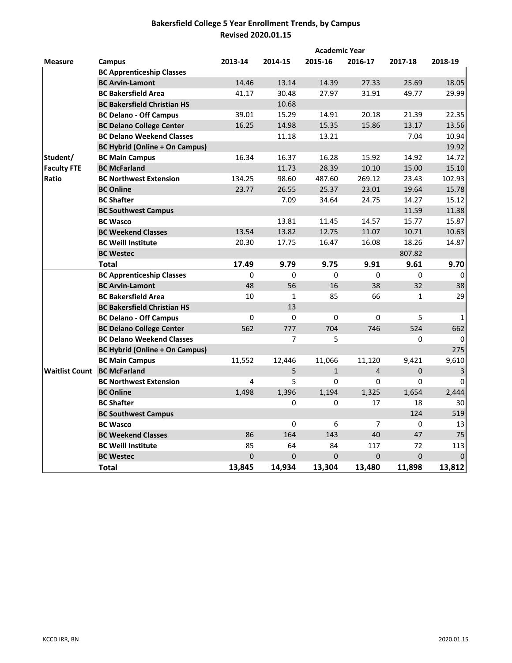# **Bakersfield College 5 Year Enrollment Trends, by Campus Revised 2020.01.15**

|                                    |                                       |             |              | <b>Academic Year</b> |                |              |             |
|------------------------------------|---------------------------------------|-------------|--------------|----------------------|----------------|--------------|-------------|
| <b>Measure</b>                     | Campus                                | 2013-14     | 2014-15      | 2015-16              | 2016-17        | 2017-18      | 2018-19     |
|                                    | <b>BC Apprenticeship Classes</b>      |             |              |                      |                |              |             |
|                                    | <b>BC Arvin-Lamont</b>                | 14.46       | 13.14        | 14.39                | 27.33          | 25.69        | 18.05       |
|                                    | <b>BC Bakersfield Area</b>            | 41.17       | 30.48        | 27.97                | 31.91          | 49.77        | 29.99       |
|                                    | <b>BC Bakersfield Christian HS</b>    |             | 10.68        |                      |                |              |             |
|                                    | <b>BC Delano - Off Campus</b>         | 39.01       | 15.29        | 14.91                | 20.18          | 21.39        | 22.35       |
|                                    | <b>BC Delano College Center</b>       | 16.25       | 14.98        | 15.35                | 15.86          | 13.17        | 13.56       |
|                                    | <b>BC Delano Weekend Classes</b>      |             | 11.18        | 13.21                |                | 7.04         | 10.94       |
|                                    | <b>BC Hybrid (Online + On Campus)</b> |             |              |                      |                |              | 19.92       |
| Student/                           | <b>BC Main Campus</b>                 | 16.34       | 16.37        | 16.28                | 15.92          | 14.92        | 14.72       |
| <b>Faculty FTE</b>                 | <b>BC McFarland</b>                   |             | 11.73        | 28.39                | 10.10          | 15.00        | 15.10       |
| Ratio                              | <b>BC Northwest Extension</b>         | 134.25      | 98.60        | 487.60               | 269.12         | 23.43        | 102.93      |
|                                    | <b>BC Online</b>                      | 23.77       | 26.55        | 25.37                | 23.01          | 19.64        | 15.78       |
|                                    | <b>BC Shafter</b>                     |             | 7.09         | 34.64                | 24.75          | 14.27        | 15.12       |
|                                    | <b>BC Southwest Campus</b>            |             |              |                      |                | 11.59        | 11.38       |
|                                    | <b>BC Wasco</b>                       |             | 13.81        | 11.45                | 14.57          | 15.77        | 15.87       |
|                                    | <b>BC Weekend Classes</b>             | 13.54       | 13.82        | 12.75                | 11.07          | 10.71        | 10.63       |
|                                    | <b>BC Weill Institute</b>             | 20.30       | 17.75        | 16.47                | 16.08          | 18.26        | 14.87       |
|                                    | <b>BC Westec</b>                      |             |              |                      |                | 807.82       |             |
|                                    | <b>Total</b>                          | 17.49       | 9.79         | 9.75                 | 9.91           | 9.61         | 9.70        |
|                                    | <b>BC Apprenticeship Classes</b>      | $\Omega$    | $\Omega$     | $\Omega$             | $\Omega$       | $\Omega$     | $\Omega$    |
|                                    | <b>BC Arvin-Lamont</b>                | 48          | 56           | 16                   | 38             | 32           | 38          |
|                                    | <b>BC Bakersfield Area</b>            | 10          | $\mathbf{1}$ | 85                   | 66             | $\mathbf{1}$ | 29          |
|                                    | <b>BC Bakersfield Christian HS</b>    |             | 13           |                      |                |              |             |
|                                    | <b>BC Delano - Off Campus</b>         | 0           | 0            | $\Omega$             | 0              | 5            | 1           |
|                                    | <b>BC Delano College Center</b>       | 562         | 777          | 704                  | 746            | 524          | 662         |
|                                    | <b>BC Delano Weekend Classes</b>      |             | 7            | 5                    |                | 0            | 0           |
|                                    | <b>BC Hybrid (Online + On Campus)</b> |             |              |                      |                |              | 275         |
|                                    | <b>BC Main Campus</b>                 | 11,552      | 12,446       | 11,066               | 11,120         | 9,421        | 9,610       |
| <b>Waitlist Count BC McFarland</b> |                                       |             | 5            | $\mathbf{1}$         | $\overline{4}$ | $\Omega$     | 3           |
|                                    | <b>BC Northwest Extension</b>         | 4           | 5            | $\Omega$             | $\Omega$       | 0            | 0           |
|                                    | <b>BC Online</b>                      | 1,498       | 1,396        | 1,194                | 1,325          | 1,654        | 2,444       |
|                                    | <b>BC Shafter</b>                     |             | 0            | $\Omega$             | 17             | 18           | 30          |
|                                    | <b>BC Southwest Campus</b>            |             |              |                      |                | 124          | 519         |
|                                    | <b>BC Wasco</b>                       |             | 0            | 6                    | $\overline{7}$ | $\Omega$     | 13          |
|                                    | <b>BC Weekend Classes</b>             | 86          | 164          | 143                  | 40             | 47           | 75          |
|                                    | <b>BC Weill Institute</b>             | 85          | 64           | 84                   | 117            | 72           | 113         |
|                                    | <b>BC Westec</b>                      | $\mathbf 0$ | 0            | $\Omega$             | 0              | $\mathbf 0$  | $\mathbf 0$ |
|                                    | Total                                 | 13,845      | 14,934       | 13,304               | 13,480         | 11,898       | 13,812      |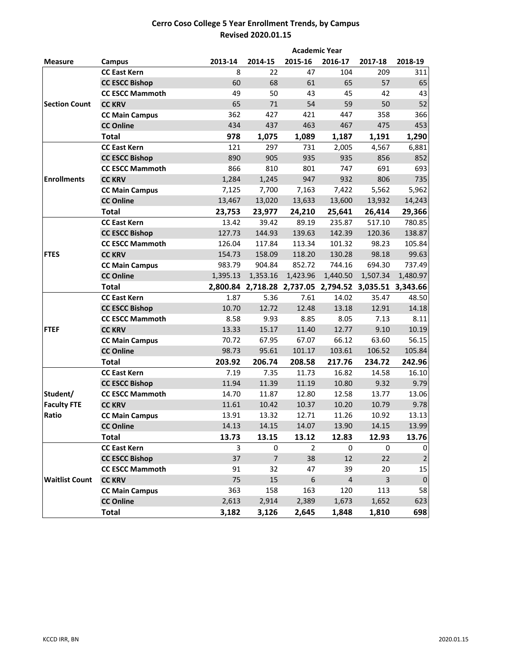### **Cerro Coso College 5 Year Enrollment Trends, by Campus Revised 2020.01.15**

|                       | <b>Academic Year</b>   |          |                |                                                       |                |             |             |  |
|-----------------------|------------------------|----------|----------------|-------------------------------------------------------|----------------|-------------|-------------|--|
| <b>Measure</b>        | Campus                 | 2013-14  | 2014-15        | 2015-16                                               | 2016-17        | 2017-18     | 2018-19     |  |
|                       | <b>CC East Kern</b>    | 8        | 22             | 47                                                    | 104            | 209         | 311         |  |
|                       | <b>CC ESCC Bishop</b>  | 60       | 68             | 61                                                    | 65             | 57          | 65          |  |
|                       | <b>CC ESCC Mammoth</b> | 49       | 50             | 43                                                    | 45             | 42          | 43          |  |
| <b>Section Count</b>  | <b>CC KRV</b>          | 65       | 71             | 54                                                    | 59             | 50          | 52          |  |
|                       | <b>CC Main Campus</b>  | 362      | 427            | 421                                                   | 447            | 358         | 366         |  |
|                       | <b>CC Online</b>       | 434      | 437            | 463                                                   | 467            | 475         | 453         |  |
|                       | <b>Total</b>           | 978      | 1,075          | 1,089                                                 | 1,187          | 1,191       | 1,290       |  |
|                       | <b>CC East Kern</b>    | 121      | 297            | 731                                                   | 2,005          | 4,567       | 6,881       |  |
|                       | <b>CC ESCC Bishop</b>  | 890      | 905            | 935                                                   | 935            | 856         | 852         |  |
|                       | <b>CC ESCC Mammoth</b> | 866      | 810            | 801                                                   | 747            | 691         | 693         |  |
| <b>Enrollments</b>    | <b>CC KRV</b>          | 1,284    | 1,245          | 947                                                   | 932            | 806         | 735         |  |
|                       | <b>CC Main Campus</b>  | 7,125    | 7,700          | 7,163                                                 | 7,422          | 5,562       | 5,962       |  |
|                       | <b>CC Online</b>       | 13,467   | 13,020         | 13,633                                                | 13,600         | 13,932      | 14,243      |  |
|                       | <b>Total</b>           | 23,753   | 23,977         | 24,210                                                | 25,641         | 26,414      | 29,366      |  |
|                       | <b>CC East Kern</b>    | 13.42    | 39.42          | 89.19                                                 | 235.87         | 517.10      | 780.85      |  |
|                       | <b>CC ESCC Bishop</b>  | 127.73   | 144.93         | 139.63                                                | 142.39         | 120.36      | 138.87      |  |
|                       | <b>CC ESCC Mammoth</b> | 126.04   | 117.84         | 113.34                                                | 101.32         | 98.23       | 105.84      |  |
| <b>FTES</b>           | <b>CC KRV</b>          | 154.73   | 158.09         | 118.20                                                | 130.28         | 98.18       | 99.63       |  |
|                       | <b>CC Main Campus</b>  | 983.79   | 904.84         | 852.72                                                | 744.16         | 694.30      | 737.49      |  |
|                       | <b>CC Online</b>       | 1,395.13 | 1,353.16       | 1,423.96                                              | 1,440.50       | 1,507.34    | 1,480.97    |  |
|                       | <b>Total</b>           |          |                | 2,800.84 2,718.28 2,737.05 2,794.52 3,035.51 3,343.66 |                |             |             |  |
|                       | <b>CC East Kern</b>    | 1.87     | 5.36           | 7.61                                                  | 14.02          | 35.47       | 48.50       |  |
|                       | <b>CC ESCC Bishop</b>  | 10.70    | 12.72          | 12.48                                                 | 13.18          | 12.91       | 14.18       |  |
|                       | <b>CC ESCC Mammoth</b> | 8.58     | 9.93           | 8.85                                                  | 8.05           | 7.13        | 8.11        |  |
| <b>FTEF</b>           | <b>CC KRV</b>          | 13.33    | 15.17          | 11.40                                                 | 12.77          | 9.10        | 10.19       |  |
|                       | <b>CC Main Campus</b>  | 70.72    | 67.95          | 67.07                                                 | 66.12          | 63.60       | 56.15       |  |
|                       | <b>CC Online</b>       | 98.73    | 95.61          | 101.17                                                | 103.61         | 106.52      | 105.84      |  |
|                       | <b>Total</b>           | 203.92   | 206.74         | 208.58                                                | 217.76         | 234.72      | 242.96      |  |
|                       | <b>CC East Kern</b>    | 7.19     | 7.35           | 11.73                                                 | 16.82          | 14.58       | 16.10       |  |
|                       | <b>CC ESCC Bishop</b>  | 11.94    | 11.39          | 11.19                                                 | 10.80          | 9.32        | 9.79        |  |
| Student/              | <b>CC ESCC Mammoth</b> | 14.70    | 11.87          | 12.80                                                 | 12.58          | 13.77       | 13.06       |  |
| <b>Faculty FTE</b>    | <b>CC KRV</b>          | 11.61    | 10.42          | 10.37                                                 | 10.20          | 10.79       | 9.78        |  |
| Ratio                 | <b>CC Main Campus</b>  | 13.91    | 13.32          | 12.71                                                 | 11.26          | 10.92       | 13.13       |  |
|                       | <b>CC Online</b>       | 14.13    | 14.15          | 14.07                                                 | 13.90          | 14.15       | 13.99       |  |
|                       | <b>Total</b>           | 13.73    | 13.15          | 13.12                                                 | 12.83          | 12.93       | 13.76       |  |
|                       | <b>CC East Kern</b>    | 3        | 0              | $\overline{2}$                                        | $\mathbf 0$    | $\mathbf 0$ | $\mathbf 0$ |  |
|                       | <b>CC ESCC Bishop</b>  | 37       | $\overline{7}$ | 38                                                    | 12             | 22          | $\mathbf 2$ |  |
|                       | <b>CC ESCC Mammoth</b> | 91       | 32             | 47                                                    | 39             | 20          | 15          |  |
| <b>Waitlist Count</b> | <b>CC KRV</b>          | 75       | 15             | $\boldsymbol{6}$                                      | $\overline{4}$ | 3           | $\pmb{0}$   |  |
|                       | <b>CC Main Campus</b>  | 363      | 158            | 163                                                   | 120            | 113         | 58          |  |
|                       | <b>CC Online</b>       | 2,613    | 2,914          | 2,389                                                 | 1,673          | 1,652       | 623         |  |
|                       | <b>Total</b>           | 3,182    | 3,126          | 2,645                                                 | 1,848          | 1,810       | 698         |  |